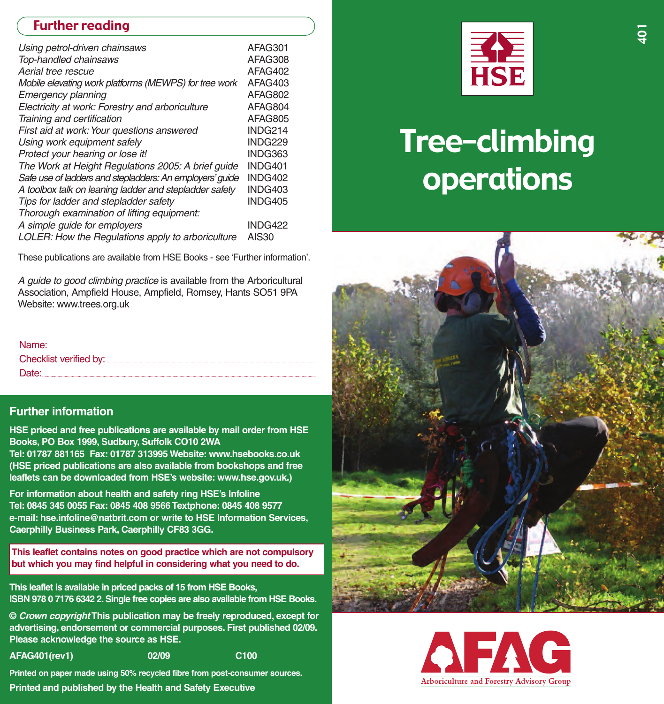## Further reading

| Using petrol-driven chainsaws                            | AFAG301        |
|----------------------------------------------------------|----------------|
| Top-handled chainsaws                                    | AFAG308        |
| Aerial tree rescue                                       | AFAG402        |
| Mobile elevating work platforms (MEWPS) for tree work    | AFAG403        |
| Emergency planning                                       | AFAG802        |
| Electricity at work: Forestry and arboriculture          | AFAG804        |
| Training and certification                               | AFAG805        |
| First aid at work: Your questions answered               | INDG214        |
| Using work equipment safely                              | <b>INDG229</b> |
| Protect your hearing or lose it!                         | INDG363        |
| The Work at Height Regulations 2005: A brief quide       | INDG401        |
| Safe use of ladders and stepladders: An employers' quide | INDG402        |
| A toolbox talk on leaning ladder and stepladder safety   | INDG403        |
| Tips for ladder and stepladder safety                    | INDG405        |
| Thorough examination of lifting equipment:               |                |
| A simple quide for employers                             | INDG422        |
| LOLER: How the Regulations apply to arboriculture        | <b>AIS30</b>   |

These publications are available from HSE Books - see 'Further information'.

*A guide to good climbing practice* is available from the Arboricultural Association, Ampfield House, Ampfield, Romsey, Hants SO51 9PA Website: www.trees.org.uk

| Name: I |
|---------|
|         |
| Date:   |

#### **Further information**

**HSE priced and free publications are available by mail order from HSE Books, PO Box 1999, Sudbury, Suffolk CO10 2WA**

**Tel: 01787 881165 Fax: 01787 313995 Website: www.hsebooks.co.uk (HSE priced publications are also available from bookshops and free leaflets can be downloaded from HSE's website: www.hse.gov.uk.)**

**For information about health and safety ring HSE's Infoline Tel: 0845 345 0055 Fax: 0845 408 9566Textphone: 0845 408 9577 email: hse.infoline@natbrit.com or write to HSE Information Services, Caerphilly Business Park, Caerphilly CF83 3GG.**

**This leaflet contains notes on good practice which are not compulsory but which you may find helpful in considering what you need to do.**

**This leaflet is available in priced packs of 15 from HSE Books, ISBN 978 0 7176 6342 2.Single free copies are also available from HSE Books.**

**©** *Crown copyright***This publication may be freely reproduced, except for / advertising, endorsement or commercial purposes. First published 02 09. Please acknowledge the source as HSE.**

**AFAG401(rev1) 02 09 C100**

**Printed on paper made using 50% recycled fibre from postconsumer sources. Printed and published by the Health and Safety Executive**

**/**



# Tree–climbing operations



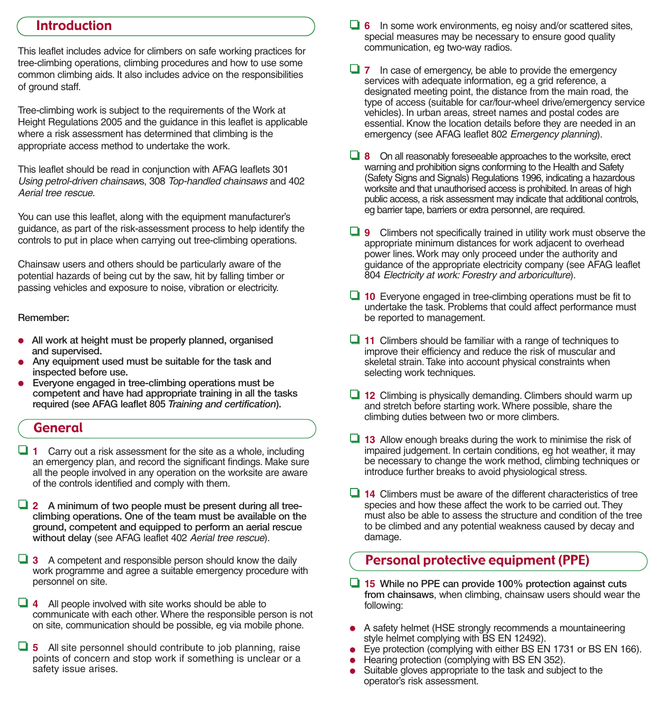### Introduction

This leaflet includes advice for climbers on safe working practices for tree-climbing operations, climbing procedures and how to use some common climbing aids. It also includes advice on the responsibilities of ground staff.

Tree-climbing work is subject to the requirements of the Work at Height Regulations 2005 and the guidance in this leaflet is applicable where a risk assessment has determined that climbing is the appropriate access method to undertake the work.

This leaflet should be read in conjunction with AFAG leaflets 301 *Using petrol-driven chainsaws, 308 <i>Top-handled chainsaws* and 402 *Aerial tree rescue*.

You can use this leaflet, along with the equipment manufacturer's guidance, as part of the risk-assessment process to help identify the controls to put in place when carrying out tree-climbing operations.

Chainsaw users and others should be particularly aware of the potential hazards of being cut by the saw, hit by falling timber or passing vehicles and exposure to noise, vibration or electricity.

#### **Remember:**

- **All work at height must be properly planned, organised and supervised.**
- **Any equipment used must be suitable for the task and inspected before use.**
- **Everyone engaged in treeclimbing operations must be competent and have had appropriate training in all the tasks required (see AFAG leaflet 805** *Training and certification***).**

#### General

- ❏ **1** Carry out a risk assessment for the site as a whole, including an emergency plan, and record the significant findings. Make sure all the people involved in any operation on the worksite are aware of the controls identified and comply with them.
- ❏ **2 A minimum of two people must be present during all treeclimbing operations. One of the team must be available on the ground, competent and equipped to perform an aerial rescue without delay** (see AFAG leaflet 402 *Aerial tree rescue*).

❏ **3** A competent and responsible person should know the daily work programme and agree a suitable emergency procedure with personnel on site.

❏ **4** All people involved with site works should be able to communicate with each other.Where the responsible person is not on site, communication should be possible, eg via mobile phone.

❏ **5** All site personnel should contribute to job planning, raise points of concern and stop work if something is unclear or a safety issue arises.

- ❏ **6** In some work environments, eg noisy and/or scattered sites, special measures may be necessary to ensure good quality communication, eg two-way radios.
- ❏ **7** In case of emergency, be able to provide the emergency services with adequate information, eg a grid reference, a designated meeting point, the distance from the main road, the type of access (suitable for car/four-wheel drive/emergency service vehicles). In urban areas, street names and postal codes are essential. Know the location details before they are needed in an emergency (see AFAG leaflet 802 *Emergency planning*).
- ❏ **8** On all reasonably foreseeable approaches to the worksite, erect warning and prohibition signs conforming to the Health and Safety (Safety Signs and Signals) Regulations 1996, indicating a hazardous worksite and that unauthorised access is prohibited. In areas of high public access, a risk assessment may indicate that additional controls, eg barrier tape, barriers or extra personnel, are required.
- ❏ **9** Climbers not specifically trained in utility work must observe the appropriate minimum distances for work adjacent to overhead power lines. Work may only proceed under the authority and guidance of the appropriate electricity company (see AFAG leaflet 804 *Electricity at work: Forestry and arboriculture*).
- ❏ **10** Everyone engaged in treeclimbing operations must be fit to undertake the task. Problems that could affect performance must be reported to management.
- ❏ **11** Climbers should be familiar with a range of techniques to improve their efficiency and reduce the risk of muscular and skeletal strain.Take into account physical constraints when selecting work techniques.
- ❏ **12** Climbing is physically demanding. Climbers should warm up and stretch before starting work.Where possible, share the climbing duties between two or more climbers.
- ❏ **13** Allow enough breaks during the work to minimise the risk of impaired judgement. In certain conditions, eg hot weather, it may be necessary to change the work method, climbing techniques or introduce further breaks to avoid physiological stress.
- ❏ **14** Climbers must be aware of the different characteristics of tree species and how these affect the work to be carried out.They must also be able to assess the structure and condition of the tree to be climbed and any potential weakness caused by decay and damage.

## Personal protective equipment (PPE)

- ❏ **15 While no PPE can provide 100% protection against cuts from chainsaws**, when climbing, chainsaw users should wear the following:
- A safety helmet (HSE strongly recommends a mountaineering style helmet complying with BS EN 12492).
- Eye protection (complying with either BS EN 1731 or BS EN 166).
- Hearing protection (complying with BS EN 352).
- Suitable gloves appropriate to the task and subject to the operator's risk assessment.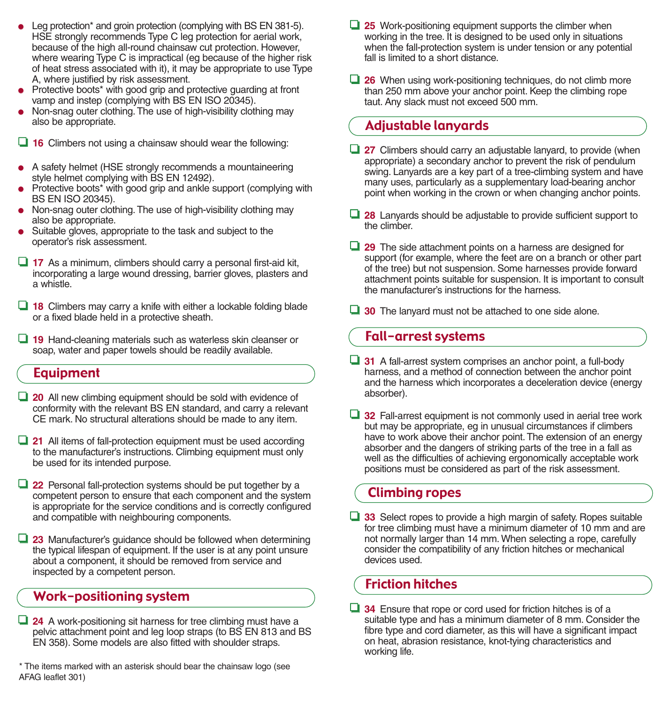- Leg protection\* and groin protection (complying with BS EN 381-5). HSE strongly recommends Type C leg protection for aerial work, because of the high allround chainsaw cut protection. However, where wearing Type C is impractical (eg because of the higher risk of heat stress associated with it), it may be appropriate to use Type A, where justified by risk assessment.
- Protective boots<sup>\*</sup> with good grip and protective guarding at front vamp and instep (complying with BS EN ISO 20345).
- Non-snag outer clothing. The use of high-visibility clothing may also be appropriate.
- ❏ **16** Climbers not using a chainsaw should wear the following:
- A safety helmet (HSE strongly recommends a mountaineering style helmet complying with BS EN 12492).
- Protective boots<sup>\*</sup> with good grip and ankle support (complying with BS EN ISO 20345).
- $\bullet$  Non-snag outer clothing. The use of high-visibility clothing may also be appropriate.
- Suitable gloves, appropriate to the task and subject to the operator's risk assessment.
- ❏ **17** As a minimum, climbers should carry a personal firstaid kit, incorporating a large wound dressing, barrier gloves, plasters and a whistle.
- ❏ **18** Climbers may carry a knife with either a lockable folding blade or a fixed blade held in a protective sheath.
- □ 19 Hand-cleaning materials such as waterless skin cleanser or soap, water and paper towels should be readily available.

## Equipment

- ❏ **20** All new climbing equipment should be sold with evidence of conformity with the relevant BS EN standard, and carry a relevant CE mark. No structural alterations should be made to any item.
- □ 21 All items of fall-protection equipment must be used according to the manufacturer's instructions. Climbing equipment must only be used for its intended purpose.
- □ 22 Personal fall-protection systems should be put together by a competent person to ensure that each component and the system is appropriate for the service conditions and is correctly configured and compatible with neighbouring components.
- ❏ **23** Manufacturer's guidance should be followed when determining the typical lifespan of equipment. If the user is at any point unsure about a component, it should be removed from service and inspected by a competent person.

## Work-positioning system

- **□ 24** A work-positioning sit harness for tree climbing must have a pelvic attachment point and leg loop straps (to BS EN 813 and BS EN 358). Some models are also fitted with shoulder straps.
- \* The items marked with an asterisk should bear the chainsaw logo (see AFAG leaflet 301)
- **□ 25** Work-positioning equipment supports the climber when working in the tree. It is designed to be used only in situations when the fall-protection system is under tension or any potential fall is limited to a short distance.
- ❏ **26** When using workpositioning techniques, do not climb more than 250 mm above your anchor point. Keep the climbing rope taut. Any slack must not exceed 500 mm.

## Adjustable lanyards

- ❏ **27** Climbers should carry an adjustable lanyard, to provide (when appropriate) a secondary anchor to prevent the risk of pendulum swing. Lanyards are a key part of a tree-climbing system and have many uses, particularly as a supplementary load-bearing anchor point when working in the crown or when changing anchor points.
- ❏ **28** Lanyards should be adjustable to provide sufficient support to the climber.
- ❏ **29** The side attachment points on a harness are designed for support (for example, where the feet are on a branch or other part of the tree) but not suspension. Some harnesses provide forward attachment points suitable for suspension. It is important to consult the manufacturer's instructions for the harness.
- ❏ **30** The lanyard must not be attached to one side alone.

## Fall-arrest systems

- **□ 31** A fall-arrest system comprises an anchor point, a full-body harness, and a method of connection between the anchor point and the harness which incorporates a deceleration device (energy absorber).
- ❏ **32** Fallarrest equipment is not commonly used in aerial tree work but may be appropriate, eg in unusual circumstances if climbers have to work above their anchor point. The extension of an energy absorber and the dangers of striking parts of the tree in a fall as well as the difficulties of achieving ergonomically acceptable work positions must be considered as part of the risk assessment.

## Climbing ropes

❏ **33** Select ropes to provide a high margin of safety. Ropes suitable for tree climbing must have a minimum diameter of 10 mm and are not normally larger than 14 mm.When selecting a rope, carefully consider the compatibility of any friction hitches or mechanical devices used.

## Friction hitches

❏ **34** Ensure that rope or cord used for friction hitches is of a suitable type and has a minimum diameter of 8 mm. Consider the fibre type and cord diameter, as this will have a significant impact on heat, abrasion resistance, knot-tying characteristics and working life.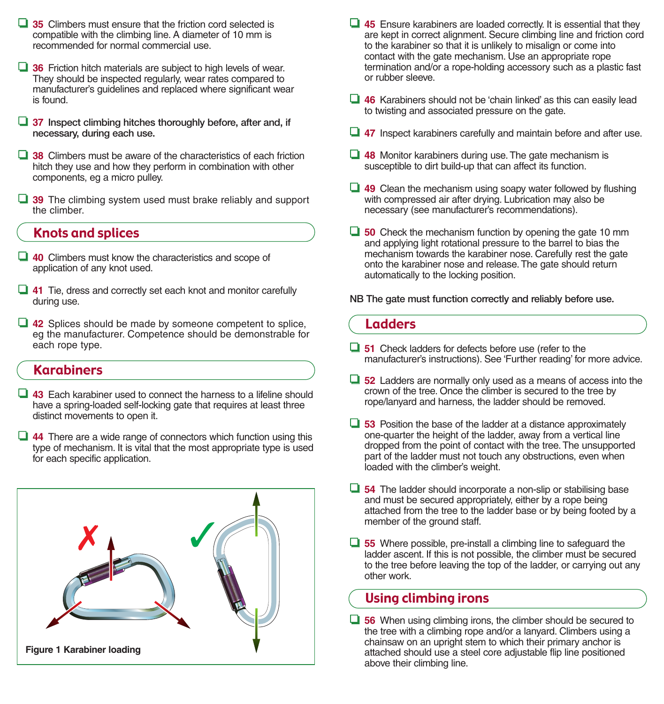- ❏ **35** Climbers must ensure that the friction cord selected is compatible with the climbing line. A diameter of 10 mm is recommended for normal commercial use.
- ❏ **36** Friction hitch materials are subject to high levels of wear. They should be inspected regularly, wear rates compared to manufacturer's guidelines and replaced where significant wear is found.
- ❏ **37 Inspect climbing hitches thoroughly before, after and, if necessary, during each use.**
- ❏ **38** Climbers must be aware of the characteristics of each friction hitch they use and how they perform in combination with other components, eg a micro pulley.
- ❏ **39** The climbing system used must brake reliably and support the climber.

#### Knots and splices

- ❏ **40** Climbers must know the characteristics and scope of application of any knot used.
- ❏ **41** Tie, dress and correctly set each knot and monitor carefully during use.
- ❏ **42** Splices should be made by someone competent to splice, eg the manufacturer. Competence should be demonstrable for each rope type.

#### Karabiners

- ❏ **43** Each karabiner used to connect the harness to a lifeline should have a spring-loaded self-locking gate that requires at least three distinct movements to open it.
- ❏ **44** There are a wide range of connectors which function using this type of mechanism. It is vital that the most appropriate type is used for each specific application.



- ❏ **45** Ensure karabiners are loaded correctly. It is essential that they are kept in correct alignment. Secure climbing line and friction cord to the karabiner so that it is unlikely to misalign or come into contact with the gate mechanism. Use an appropriate rope termination and/or a rope-holding accessory such as a plastic fast or rubber sleeve.
- ❏ **46** Karabiners should not be 'chain linked' as this can easily lead to twisting and associated pressure on the gate.
- ❏ **47** Inspect karabiners carefully and maintain before and after use.
- ❏ **48** Monitor karabiners during use.The gate mechanism is susceptible to dirt build-up that can affect its function.
- ❏ **49** Clean the mechanism using soapy water followed by flushing with compressed air after drying. Lubrication may also be necessary (see manufacturer's recommendations).
- ❏ **50** Check the mechanism function by opening the gate 10 mm and applying light rotational pressure to the barrel to bias the mechanism towards the karabiner nose. Carefully rest the gate onto the karabiner nose and release.The gate should return automatically to the locking position.

**NB The gate must function correctly and reliably before use.**

#### Ladders

- ❏ **51** Check ladders for defects before use (refer to the manufacturer's instructions). See 'Further reading' for more advice.
- ❏ **52** Ladders are normally only used as a means of access into the crown of the tree. Once the climber is secured to the tree by rope/lanyard and harness, the ladder should be removed.
- ❏ **53** Position the base of the ladder at a distance approximately one-quarter the height of the ladder, away from a vertical line dropped from the point of contact with the tree.The unsupported part of the ladder must not touch any obstructions, even when loaded with the climber's weight.
- **□ 54** The ladder should incorporate a non-slip or stabilising base and must be secured appropriately, either by a rope being attached from the tree to the ladder base or by being footed by a member of the ground staff.
- **□ 55** Where possible, pre-install a climbing line to safeguard the ladder ascent. If this is not possible, the climber must be secured to the tree before leaving the top of the ladder, or carrying out any other work.

### Using climbing irons

❏ **56** When using climbing irons, the climber should be secured to the tree with a climbing rope and/or a lanyard. Climbers using a chainsaw on an upright stem to which their primary anchor is attached should use a steel core adjustable flip line positioned above their climbing line.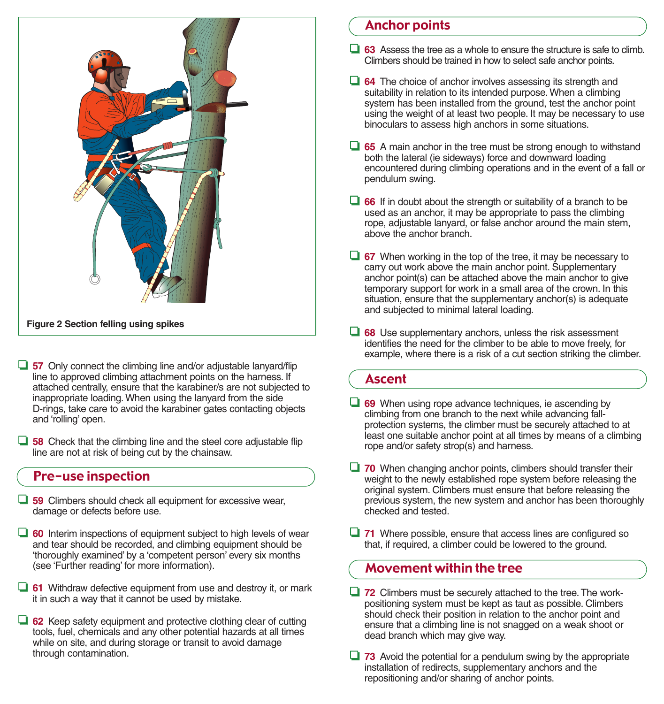

- ❏ **57** Only connect the climbing line and/or adjustable lanyard/flip line to approved climbing attachment points on the harness. If attached centrally, ensure that the karabiner/s are not subjected to inappropriate loading.When using the lanyard from the side Drings, take care to avoid the karabiner gates contacting objects and 'rolling' open.
- ❏ **58** Check that the climbing line and the steel core adjustable flip line are not at risk of being cut by the chainsaw.

## Pre-use inspection

- ❏ **59** Climbers should check all equipment for excessive wear, damage or defects before use.
- ❏ **60** Interim inspections of equipment subject to high levels of wear and tear should be recorded, and climbing equipment should be 'thoroughly examined' by a 'competent person' every six months (see 'Further reading' for more information).
- ❏ **61** Withdraw defective equipment from use and destroy it, or mark it in such a way that it cannot be used by mistake.
- ❏ **62** Keep safety equipment and protective clothing clear of cutting tools, fuel, chemicals and any other potential hazards at all times while on site, and during storage or transit to avoid damage through contamination.

## Anchor points

- ❏ **63** Assess the tree as a whole to ensure the structure is safe to climb. Climbers should be trained in how to select safe anchor points.
- ❏ **64** The choice of anchor involves assessing its strength and suitability in relation to its intended purpose. When a climbing system has been installed from the ground, test the anchor point using the weight of at least two people. It may be necessary to use binoculars to assess high anchors in some situations.
- ❏ **65** A main anchor in the tree must be strong enough to withstand both the lateral (ie sideways) force and downward loading encountered during climbing operations and in the event of a fall or pendulum swing.
- ❏ **66** If in doubt about the strength or suitability of a branch to be used as an anchor, it may be appropriate to pass the climbing rope, adjustable lanyard, or false anchor around the main stem, above the anchor branch.
- ❏ **67** When working in the top of the tree, it may be necessary to carry out work above the main anchor point. Supplementary anchor point(s) can be attached above the main anchor to give temporary support for work in a small area of the crown. In this situation, ensure that the supplementary anchor(s) is adequate and subjected to minimal lateral loading.
- ❏ **68** Use supplementary anchors, unless the risk assessment identifies the need for the climber to be able to move freely, for example, where there is a risk of a cut section striking the climber.

## Ascent

- ❏ **69** When using rope advance techniques, ie ascending by climbing from one branch to the next while advancing fallprotection systems, the climber must be securely attached to at least one suitable anchor point at all times by means of a climbing rope and/or safety strop(s) and harness.
- ❏ **70** When changing anchor points, climbers should transfer their weight to the newly established rope system before releasing the original system. Climbers must ensure that before releasing the previous system, the new system and anchor has been thoroughly checked and tested.
- ❏ **71** Where possible, ensure that access lines are configured so that, if required, a climber could be lowered to the ground.

## Movement within the tree

- ❏ **72** Climbers must be securely attached to the tree.The workpositioning system must be kept as taut as possible. Climbers should check their position in relation to the anchor point and ensure that a climbing line is not snagged on a weak shoot or dead branch which may give way.
- ❏ **73** Avoid the potential for a pendulum swing by the appropriate installation of redirects, supplementary anchors and the repositioning and/or sharing of anchor points.